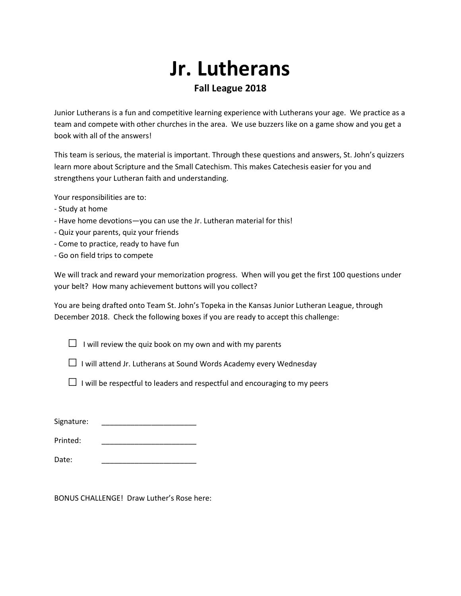## **Jr. Lutherans Fall League 2018**

Junior Lutherans is a fun and competitive learning experience with Lutherans your age. We practice as a team and compete with other churches in the area. We use buzzers like on a game show and you get a book with all of the answers!

This team is serious, the material is important. Through these questions and answers, St. John's quizzers learn more about Scripture and the Small Catechism. This makes Catechesis easier for you and strengthens your Lutheran faith and understanding.

Your responsibilities are to:

- Study at home
- Have home devotions—you can use the Jr. Lutheran material for this!
- Quiz your parents, quiz your friends
- Come to practice, ready to have fun
- Go on field trips to compete

We will track and reward your memorization progress. When will you get the first 100 questions under your belt? How many achievement buttons will you collect?

You are being drafted onto Team St. John's Topeka in the Kansas Junior Lutheran League, through December 2018. Check the following boxes if you are ready to accept this challenge:

 $\Box$  I will review the quiz book on my own and with my parents

□ I will attend Jr. Lutherans at Sound Words Academy every Wednesday

 $\Box$  I will be respectful to leaders and respectful and encouraging to my peers

| Signature: |  |
|------------|--|
| Printed:   |  |
| Date:      |  |

BONUS CHALLENGE! Draw Luther's Rose here: